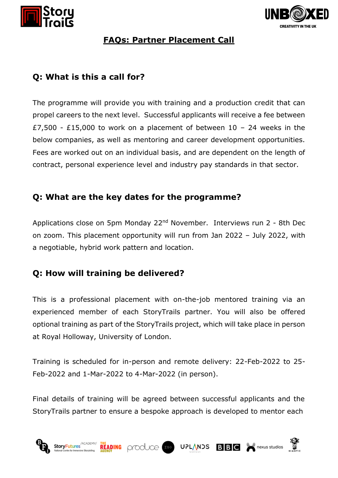



#### **FAQs: Partner Placement Call**

## **Q: What is this a call for?**

The programme will provide you with training and a production credit that can propel careers to the next level. Successful applicants will receive a fee between £7,500 - £15,000 to work on a placement of between  $10 - 24$  weeks in the below companies, as well as mentoring and career development opportunities. Fees are worked out on an individual basis, and are dependent on the length of contract, personal experience level and industry pay standards in that sector.

## **Q: What are the key dates for the programme?**

Applications close on 5pm Monday 22<sup>nd</sup> November. Interviews run 2 - 8th Dec on zoom. This placement opportunity will run from Jan 2022 – July 2022, with a negotiable, hybrid work pattern and location.

### **Q: How will training be delivered?**

This is a professional placement with on-the-job mentored training via an experienced member of each StoryTrails partner. You will also be offered optional training as part of the StoryTrails project, which will take place in person at Royal Holloway, University of London.

Training is scheduled for in-person and remote delivery: 22-Feb-2022 to 25- Feb-2022 and 1-Mar-2022 to 4-Mar-2022 (in person).

Final details of training will be agreed between successful applicants and the StoryTrails partner to ensure a bespoke approach is developed to mentor each

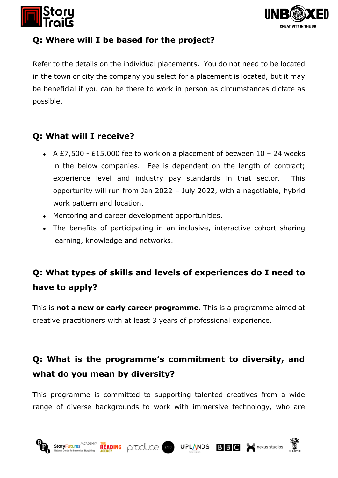



### **Q: Where will I be based for the project?**

Refer to the details on the individual placements. You do not need to be located in the town or city the company you select for a placement is located, but it may be beneficial if you can be there to work in person as circumstances dictate as possible.

## **Q: What will I receive?**

- A  $E7,500$   $E15,000$  fee to work on a placement of between  $10 24$  weeks in the below companies. Fee is dependent on the length of contract; experience level and industry pay standards in that sector. This opportunity will run from Jan 2022 – July 2022, with a negotiable, hybrid work pattern and location.
- Mentoring and career development opportunities.
- The benefits of participating in an inclusive, interactive cohort sharing learning, knowledge and networks.

# **Q: What types of skills and levels of experiences do I need to have to apply?**

This is **not a new or early career programme.** This is a programme aimed at creative practitioners with at least 3 years of professional experience.

# **Q: What is the programme's commitment to diversity, and what do you mean by diversity?**

This programme is committed to supporting talented creatives from a wide range of diverse backgrounds to work with immersive technology, who are